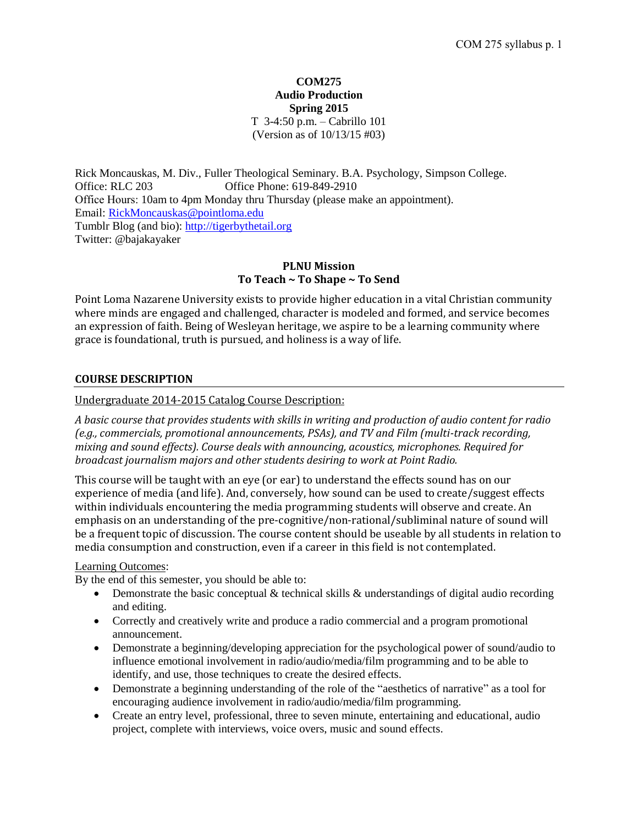### **COM275 Audio Production Spring 2015** T 3-4:50 p.m. – Cabrillo 101 (Version as of 10/13/15 #03)

Rick Moncauskas, M. Div., Fuller Theological Seminary. B.A. Psychology, Simpson College. Office: RLC 203 Office Phone: 619-849-2910 Office Hours: 10am to 4pm Monday thru Thursday (please make an appointment). Email: [RickMoncauskas@pointloma.edu](mailto:RickMoncauskas@pointloma.edu) Tumblr Blog (and bio)[: http://tigerbythetail.org](http://tigerbythetail.org/) Twitter: @bajakayaker

# **PLNU Mission To Teach ~ To Shape ~ To Send**

Point Loma Nazarene University exists to provide higher education in a vital Christian community where minds are engaged and challenged, character is modeled and formed, and service becomes an expression of faith. Being of Wesleyan heritage, we aspire to be a learning community where grace is foundational, truth is pursued, and holiness is a way of life.

## **COURSE DESCRIPTION**

Undergraduate 2014-2015 Catalog Course Description:

*A basic course that provides students with skills in writing and production of audio content for radio (e.g., commercials, promotional announcements, PSAs), and TV and Film (multi-track recording, mixing and sound effects). Course deals with announcing, acoustics, microphones. Required for broadcast journalism majors and other students desiring to work at Point Radio.*

This course will be taught with an eye (or ear) to understand the effects sound has on our experience of media (and life). And, conversely, how sound can be used to create/suggest effects within individuals encountering the media programming students will observe and create. An emphasis on an understanding of the pre-cognitive/non-rational/subliminal nature of sound will be a frequent topic of discussion. The course content should be useable by all students in relation to media consumption and construction, even if a career in this field is not contemplated.

## Learning Outcomes:

By the end of this semester, you should be able to:

- Demonstrate the basic conceptual  $\&$  technical skills  $\&$  understandings of digital audio recording and editing.
- Correctly and creatively write and produce a radio commercial and a program promotional announcement.
- Demonstrate a beginning/developing appreciation for the psychological power of sound/audio to influence emotional involvement in radio/audio/media/film programming and to be able to identify, and use, those techniques to create the desired effects.
- Demonstrate a beginning understanding of the role of the "aesthetics of narrative" as a tool for encouraging audience involvement in radio/audio/media/film programming.
- Create an entry level, professional, three to seven minute, entertaining and educational, audio project, complete with interviews, voice overs, music and sound effects.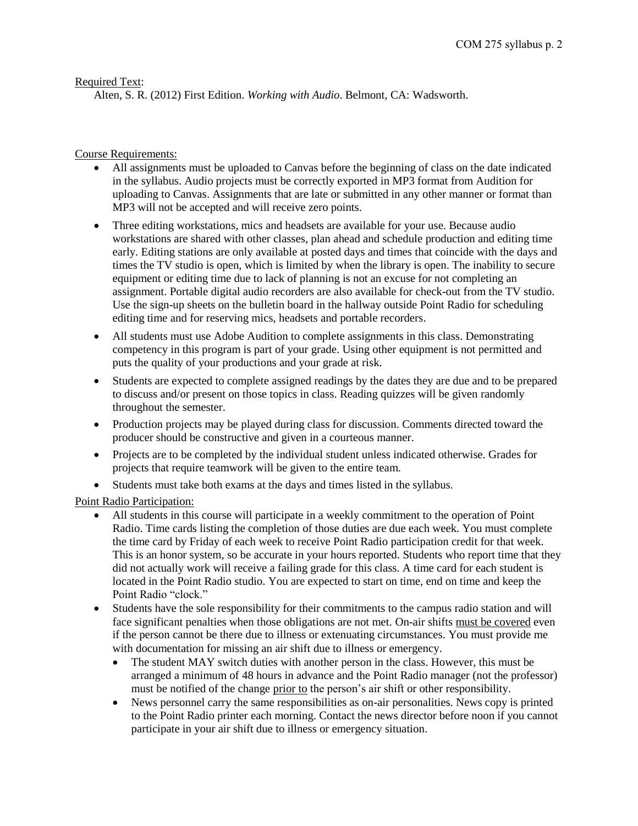# Required Text:

Alten, S. R. (2012) First Edition. *Working with Audio*. Belmont, CA: Wadsworth.

# Course Requirements:

- All assignments must be uploaded to Canvas before the beginning of class on the date indicated in the syllabus. Audio projects must be correctly exported in MP3 format from Audition for uploading to Canvas. Assignments that are late or submitted in any other manner or format than MP3 will not be accepted and will receive zero points.
- Three editing workstations, mics and headsets are available for your use. Because audio workstations are shared with other classes, plan ahead and schedule production and editing time early. Editing stations are only available at posted days and times that coincide with the days and times the TV studio is open, which is limited by when the library is open. The inability to secure equipment or editing time due to lack of planning is not an excuse for not completing an assignment. Portable digital audio recorders are also available for check-out from the TV studio. Use the sign-up sheets on the bulletin board in the hallway outside Point Radio for scheduling editing time and for reserving mics, headsets and portable recorders.
- All students must use Adobe Audition to complete assignments in this class. Demonstrating competency in this program is part of your grade. Using other equipment is not permitted and puts the quality of your productions and your grade at risk.
- Students are expected to complete assigned readings by the dates they are due and to be prepared to discuss and/or present on those topics in class. Reading quizzes will be given randomly throughout the semester.
- Production projects may be played during class for discussion. Comments directed toward the producer should be constructive and given in a courteous manner.
- Projects are to be completed by the individual student unless indicated otherwise. Grades for projects that require teamwork will be given to the entire team.
- Students must take both exams at the days and times listed in the syllabus.

Point Radio Participation:

- All students in this course will participate in a weekly commitment to the operation of Point Radio. Time cards listing the completion of those duties are due each week. You must complete the time card by Friday of each week to receive Point Radio participation credit for that week. This is an honor system, so be accurate in your hours reported. Students who report time that they did not actually work will receive a failing grade for this class. A time card for each student is located in the Point Radio studio. You are expected to start on time, end on time and keep the Point Radio "clock."
- Students have the sole responsibility for their commitments to the campus radio station and will face significant penalties when those obligations are not met. On-air shifts must be covered even if the person cannot be there due to illness or extenuating circumstances. You must provide me with documentation for missing an air shift due to illness or emergency.
	- The student MAY switch duties with another person in the class. However, this must be arranged a minimum of 48 hours in advance and the Point Radio manager (not the professor) must be notified of the change prior to the person's air shift or other responsibility.
	- News personnel carry the same responsibilities as on-air personalities. News copy is printed to the Point Radio printer each morning. Contact the news director before noon if you cannot participate in your air shift due to illness or emergency situation.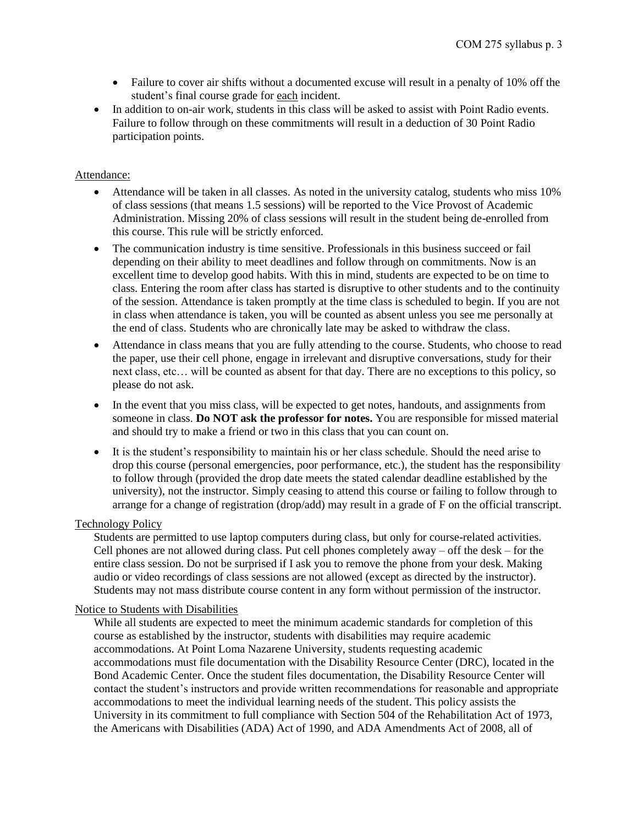- Failure to cover air shifts without a documented excuse will result in a penalty of 10% off the student's final course grade for each incident.
- In addition to on-air work, students in this class will be asked to assist with Point Radio events. Failure to follow through on these commitments will result in a deduction of 30 Point Radio participation points.

### Attendance:

- Attendance will be taken in all classes. As noted in the university catalog, students who miss 10% of class sessions (that means 1.5 sessions) will be reported to the Vice Provost of Academic Administration. Missing 20% of class sessions will result in the student being de-enrolled from this course. This rule will be strictly enforced.
- The communication industry is time sensitive. Professionals in this business succeed or fail depending on their ability to meet deadlines and follow through on commitments. Now is an excellent time to develop good habits. With this in mind, students are expected to be on time to class. Entering the room after class has started is disruptive to other students and to the continuity of the session. Attendance is taken promptly at the time class is scheduled to begin. If you are not in class when attendance is taken, you will be counted as absent unless you see me personally at the end of class. Students who are chronically late may be asked to withdraw the class.
- Attendance in class means that you are fully attending to the course. Students, who choose to read the paper, use their cell phone, engage in irrelevant and disruptive conversations, study for their next class, etc… will be counted as absent for that day. There are no exceptions to this policy, so please do not ask.
- In the event that you miss class, will be expected to get notes, handouts, and assignments from someone in class. **Do NOT ask the professor for notes.** You are responsible for missed material and should try to make a friend or two in this class that you can count on.
- It is the student's responsibility to maintain his or her class schedule. Should the need arise to drop this course (personal emergencies, poor performance, etc.), the student has the responsibility to follow through (provided the drop date meets the stated calendar deadline established by the university), not the instructor. Simply ceasing to attend this course or failing to follow through to arrange for a change of registration (drop/add) may result in a grade of F on the official transcript.

## Technology Policy

Students are permitted to use laptop computers during class, but only for course-related activities. Cell phones are not allowed during class. Put cell phones completely away – off the desk – for the entire class session. Do not be surprised if I ask you to remove the phone from your desk. Making audio or video recordings of class sessions are not allowed (except as directed by the instructor). Students may not mass distribute course content in any form without permission of the instructor.

#### Notice to Students with Disabilities

While all students are expected to meet the minimum academic standards for completion of this course as established by the instructor, students with disabilities may require academic accommodations. At Point Loma Nazarene University, students requesting academic accommodations must file documentation with the Disability Resource Center (DRC), located in the Bond Academic Center. Once the student files documentation, the Disability Resource Center will contact the student's instructors and provide written recommendations for reasonable and appropriate accommodations to meet the individual learning needs of the student. This policy assists the University in its commitment to full compliance with Section 504 of the Rehabilitation Act of 1973, the Americans with Disabilities (ADA) Act of 1990, and ADA Amendments Act of 2008, all of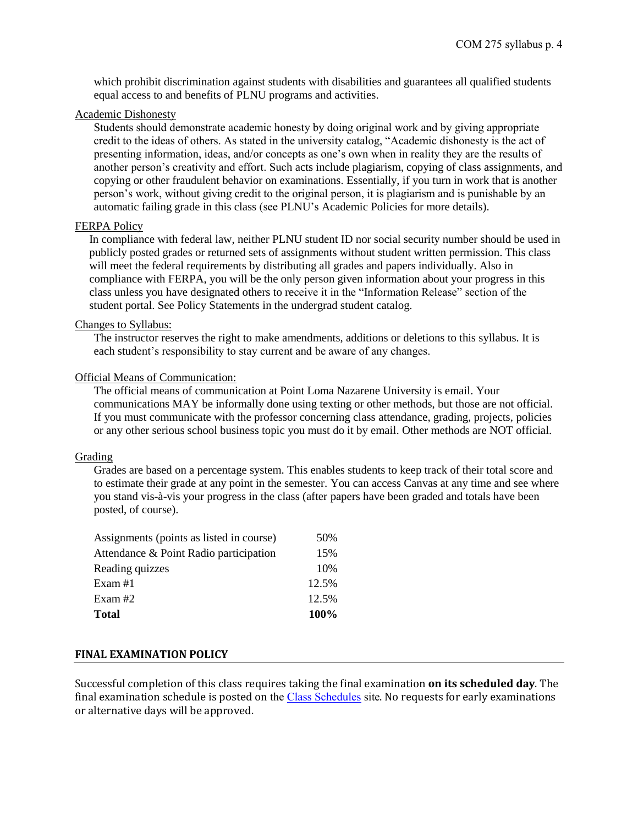which prohibit discrimination against students with disabilities and guarantees all qualified students equal access to and benefits of PLNU programs and activities.

#### Academic Dishonesty

Students should demonstrate academic honesty by doing original work and by giving appropriate credit to the ideas of others. As stated in the university catalog, "Academic dishonesty is the act of presenting information, ideas, and/or concepts as one's own when in reality they are the results of another person's creativity and effort. Such acts include plagiarism, copying of class assignments, and copying or other fraudulent behavior on examinations. Essentially, if you turn in work that is another person's work, without giving credit to the original person, it is plagiarism and is punishable by an automatic failing grade in this class (see PLNU's Academic Policies for more details).

#### FERPA Policy

In compliance with federal law, neither PLNU student ID nor social security number should be used in publicly posted grades or returned sets of assignments without student written permission. This class will meet the federal requirements by distributing all grades and papers individually. Also in compliance with FERPA, you will be the only person given information about your progress in this class unless you have designated others to receive it in the "Information Release" section of the student portal. See Policy Statements in the undergrad student catalog.

#### Changes to Syllabus:

The instructor reserves the right to make amendments, additions or deletions to this syllabus. It is each student's responsibility to stay current and be aware of any changes.

#### Official Means of Communication:

The official means of communication at Point Loma Nazarene University is email. Your communications MAY be informally done using texting or other methods, but those are not official. If you must communicate with the professor concerning class attendance, grading, projects, policies or any other serious school business topic you must do it by email. Other methods are NOT official.

#### Grading

Grades are based on a percentage system. This enables students to keep track of their total score and to estimate their grade at any point in the semester. You can access Canvas at any time and see where you stand vis-à-vis your progress in the class (after papers have been graded and totals have been posted, of course).

| <b>Total</b>                             | 100%  |
|------------------------------------------|-------|
| Exam #2                                  | 12.5% |
| Exam #1                                  | 12.5% |
| Reading quizzes                          | 10%   |
| Attendance & Point Radio participation   | 15%   |
| Assignments (points as listed in course) | 50%   |

## **FINAL EXAMINATION POLICY**

Successful completion of this class requires taking the final examination **on its scheduled day**. The final examination schedule is posted on the [Class Schedules](http://www.pointloma.edu/experience/academics/class-schedules) site. No requests for early examinations or alternative days will be approved.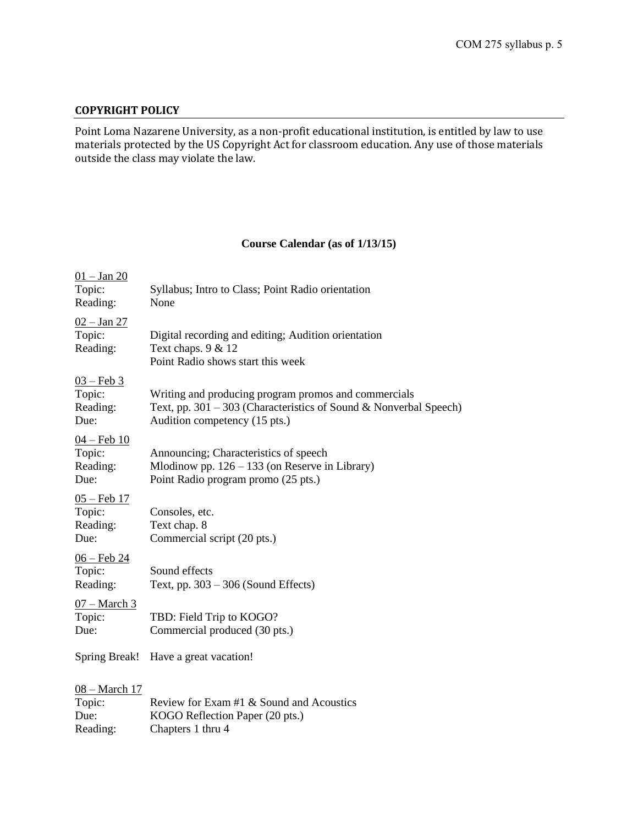## **COPYRIGHT POLICY**

Point Loma Nazarene University, as a non-profit educational institution, is entitled by law to use materials protected by the US Copyright Act for classroom education. Any use of those materials outside the class may violate the law.

# **Course Calendar (as of 1/13/15)**

| $01 -$ Jan 20<br>Topic:<br>Reading:                | Syllabus; Intro to Class; Point Radio orientation<br>None                                                                                                  |
|----------------------------------------------------|------------------------------------------------------------------------------------------------------------------------------------------------------------|
| $02 - Jan 27$<br>Topic:<br>Reading:                | Digital recording and editing; Audition orientation<br>Text chaps. $9 & 12$<br>Point Radio shows start this week                                           |
| $03 - \text{Feb } 3$<br>Topic:<br>Reading:<br>Due: | Writing and producing program promos and commercials<br>Text, pp. 301 – 303 (Characteristics of Sound & Nonverbal Speech)<br>Audition competency (15 pts.) |
| <u>04 – Feb 10</u><br>Topic:<br>Reading:<br>Due:   | Announcing; Characteristics of speech<br>Mlodinow pp. $126 - 133$ (on Reserve in Library)<br>Point Radio program promo (25 pts.)                           |
| <u>05 – Feb 17</u><br>Topic:<br>Reading:<br>Due:   | Consoles, etc.<br>Text chap. 8<br>Commercial script (20 pts.)                                                                                              |
| <u>06 – Feb 24</u><br>Topic:<br>Reading:           | Sound effects<br>Text, pp. $303 - 306$ (Sound Effects)                                                                                                     |
| <u>07 – March 3</u><br>Topic:<br>Due:              | TBD: Field Trip to KOGO?<br>Commercial produced (30 pts.)                                                                                                  |
| <b>Spring Break!</b>                               | Have a great vacation!                                                                                                                                     |
| <u>08 – March 17</u><br>Topic:<br>Due:<br>Reading: | Review for Exam #1 & Sound and Acoustics<br>KOGO Reflection Paper (20 pts.)<br>Chapters 1 thru 4                                                           |